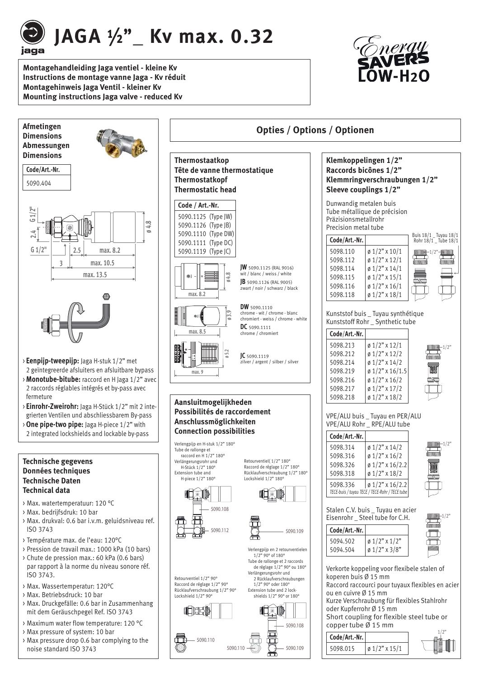

**JAGA ½ "\_ Kv max. 0.32**

**Montagehandleiding Jaga ventiel - kleine Kv Instructions de montage vanne Jaga - Kv réduit Montagehinweis Jaga Ventil - kleiner Kv Mounting instructions Jaga valve - reduced Kv**